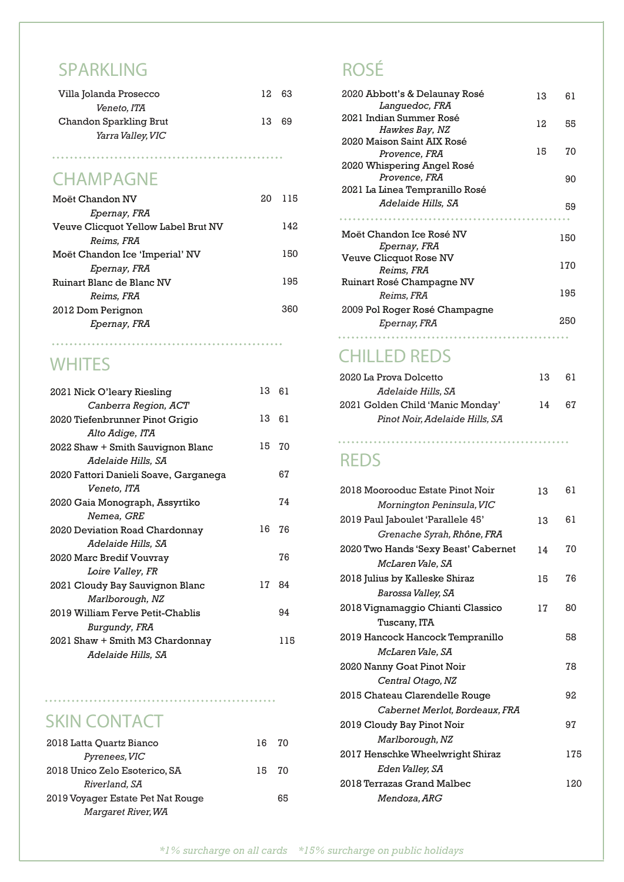#### **SPARKLING**

| Villa Jolanda Prosecco   | 12. | 63 |
|--------------------------|-----|----|
| <i>Veneto, ITA</i>       |     |    |
| Chandon Sparkling Brut   | 13  | 69 |
| <i>Yarra Valley, VIC</i> |     |    |
|                          |     |    |

#### **CHAMPAGNE**

| Moët Chandon NV                     | 20 | 115 |
|-------------------------------------|----|-----|
| Epernay, FRA                        |    |     |
| Veuve Clicquot Yellow Label Brut NV |    | 142 |
| Reims. FRA                          |    |     |
| Moët Chandon Ice 'Imperial' NV      |    | 150 |
| Epernay, FRA                        |    |     |
| Ruinart Blanc de Blanc NV           |    | 195 |
| <i>Reims, FRA</i>                   |    |     |
| 2012 Dom Perignon                   |    | 360 |
| Epernay, FRA                        |    |     |
|                                     |    |     |

#### **WHITES**

| 2021 Nick O'leary Riesling            | 13 61 |     |
|---------------------------------------|-------|-----|
| <i>Canberra Region, ACT</i>           |       |     |
| 2020 Tiefenbrunner Pinot Grigio       | 13    | 61  |
| Alto Adige, ITA                       |       |     |
| 2022 Shaw + Smith Sauvignon Blanc     | 15    | 70  |
| <i>Adelaide Hills, SA</i>             |       |     |
| 2020 Fattori Danieli Soave, Garganega |       | 67  |
| Veneto. ITA                           |       |     |
| 2020 Gaia Monograph, Assyrtiko        |       | 74  |
| Nemea, GRE                            |       |     |
| 2020 Deviation Road Chardonnay        | 16    | 76  |
| <i>Adelaide Hills, SA</i>             |       |     |
| 2020 Marc Bredif Vouvray              |       | 76  |
| <i>Loire Valley, FR</i>               |       |     |
| 2021 Cloudy Bay Sauvignon Blanc       | 17    | 84  |
| Marlborough, NZ                       |       |     |
| 2019 William Ferve Petit-Chablis      |       | 94  |
| Burgundy, FRA                         |       |     |
| 2021 Shaw + Smith M3 Chardonnay       |       | 115 |
| <i>Adelaide Hills, SA</i>             |       |     |

#### **SKIN CONTACT**

| 16. | 70 |
|-----|----|
|     |    |
| 15. | 70 |
|     |    |
|     | 65 |
|     |    |
|     |    |

#### **ROSÉ**

| 2020 Abbott's & Delaunay Rosé<br>Languedoc, FRA             | 13 | 61  |
|-------------------------------------------------------------|----|-----|
| 2021 Indian Summer Rosé<br><i>Hawkes Bay, NZ</i>            | 12 | 55  |
| 2020 Maison Saint AIX Rosé<br>Provence, FRA                 | 15 | 70  |
| 2020 Whispering Angel Rosé<br>Provence, FRA                 |    | 90  |
| 2021 La Linea Tempranillo Rosé<br><i>Adelaide Hills, SA</i> |    | 59  |
| Moët Chandon Ice Rosé NV<br>Epernay, FRA                    |    | 150 |
| Veuve Clicquot Rose NV<br><i>Reims, FRA</i>                 |    | 170 |
| Ruinart Rosé Champagne NV<br><i>Reims. FRA</i>              |    | 195 |
| 2009 Pol Roger Rosé Champagne<br><i>Epernay, FRA</i>        |    | 250 |
|                                                             |    |     |

#### **CHILLED REDS**

| 2020 La Prova Dolcetto           | 13 | 61 |
|----------------------------------|----|----|
| <i>Adelaide Hills, SA</i>        |    |    |
| 2021 Golden Child 'Manic Monday' | 14 | 67 |
| Pinot Noir. Adelaide Hills. SA   |    |    |

#### **REDS**

| 2018 Moorooduc Estate Pinot Noir     | 13 | 61  |
|--------------------------------------|----|-----|
| Mornington Peninsula, VIC            |    |     |
| 2019 Paul Jaboulet 'Parallele 45'    | 13 | 61  |
| Grenache Syrah, Rhône, FRA           |    |     |
| 2020 Two Hands 'Sexy Beast' Cabernet | 14 | 70  |
| McLaren Vale. SA                     |    |     |
| 2018 Julius by Kalleske Shiraz       | 15 | 76  |
| Barossa Valley, SA                   |    |     |
| 2018 Vignamaggio Chianti Classico    | 17 | 80  |
| Tuscany, ITA                         |    |     |
| 2019 Hancock Hancock Tempranillo     |    | 58  |
| McLaren Vale, SA                     |    |     |
| 2020 Nanny Goat Pinot Noir           |    | 78  |
| Central Otago, NZ                    |    |     |
| 2015 Chateau Clarendelle Rouge       |    | 92  |
| Cabernet Merlot, Bordeaux, FRA       |    |     |
| 2019 Cloudy Bay Pinot Noir           |    | 97  |
| Marlborough, NZ                      |    |     |
| 2017 Henschke Wheelwright Shiraz     |    | 175 |
| Eden Valley, SA                      |    |     |
| 2018 Terrazas Grand Malbec           |    | 120 |
| Mendoza, ARG                         |    |     |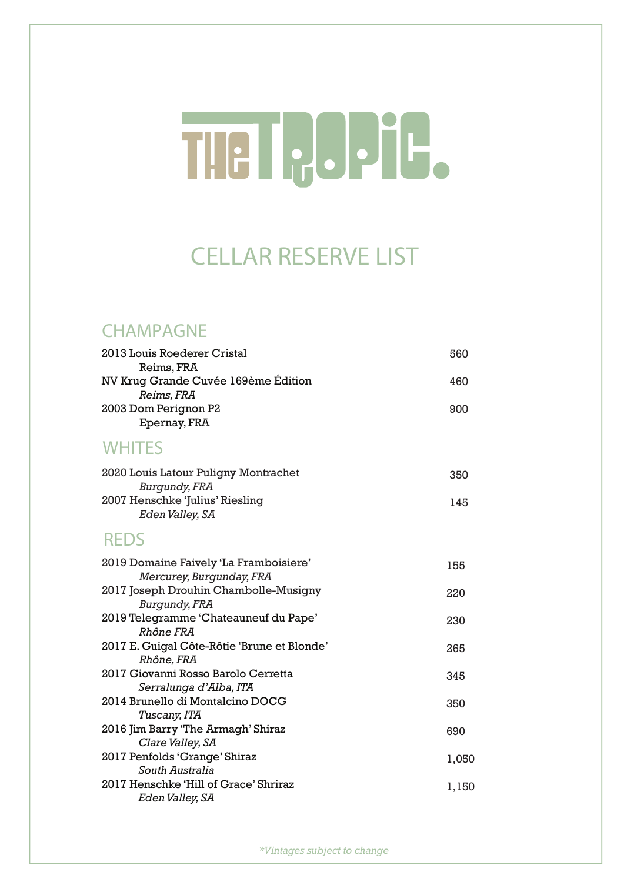# TIE I JJJJ-

### **CELLAR RESERVE LIST**

#### **CHAMPAGNE**

| 2013 Louis Roederer Cristal<br>Reims, FRA                          | 560   |
|--------------------------------------------------------------------|-------|
| NV Krug Grande Cuvée 169ème Édition<br>Reims, FRA                  | 460   |
| 2003 Dom Perignon P2<br>Epernay, FRA                               | 900   |
| <b>WHITES</b>                                                      |       |
| 2020 Louis Latour Puligny Montrachet<br><b>Burgundy, FRA</b>       | 350   |
| 2007 Henschke 'Julius' Riesling<br>Eden Valley, SA                 | 145   |
| <b>REDS</b>                                                        |       |
| 2019 Domaine Faively 'La Framboisiere'<br>Mercurey, Burgunday, FRA | 155   |
| 2017 Joseph Drouhin Chambolle-Musigny<br>Burgundy, FRA             | 220   |
| 2019 Telegramme 'Chateauneuf du Pape'<br>Rhône FRA                 | 230   |
| 2017 E. Guigal Côte-Rôtie 'Brune et Blonde'<br>Rhône, FRA          | 265   |
| 2017 Giovanni Rosso Barolo Cerretta<br>Serralunga d'Alba, ITA      | 345   |
| 2014 Brunello di Montalcino DOCG<br>Tuscany, ITA                   | 350   |
| 2016 Jim Barry 'The Armagh' Shiraz<br>Clare Valley, SA             | 690   |
| 2017 Penfolds 'Grange' Shiraz<br>South Australia                   | 1,050 |
| 2017 Henschke 'Hill of Grace' Shriraz<br>Eden Valley, SA           | 1,150 |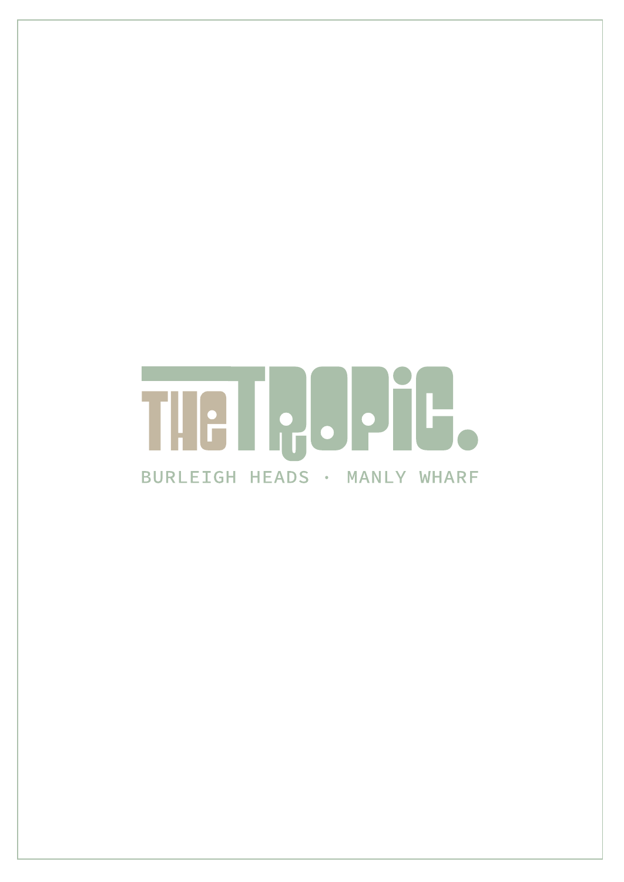# THE ICOPIE. BURLEIGH HEADS · MANLY WHARF